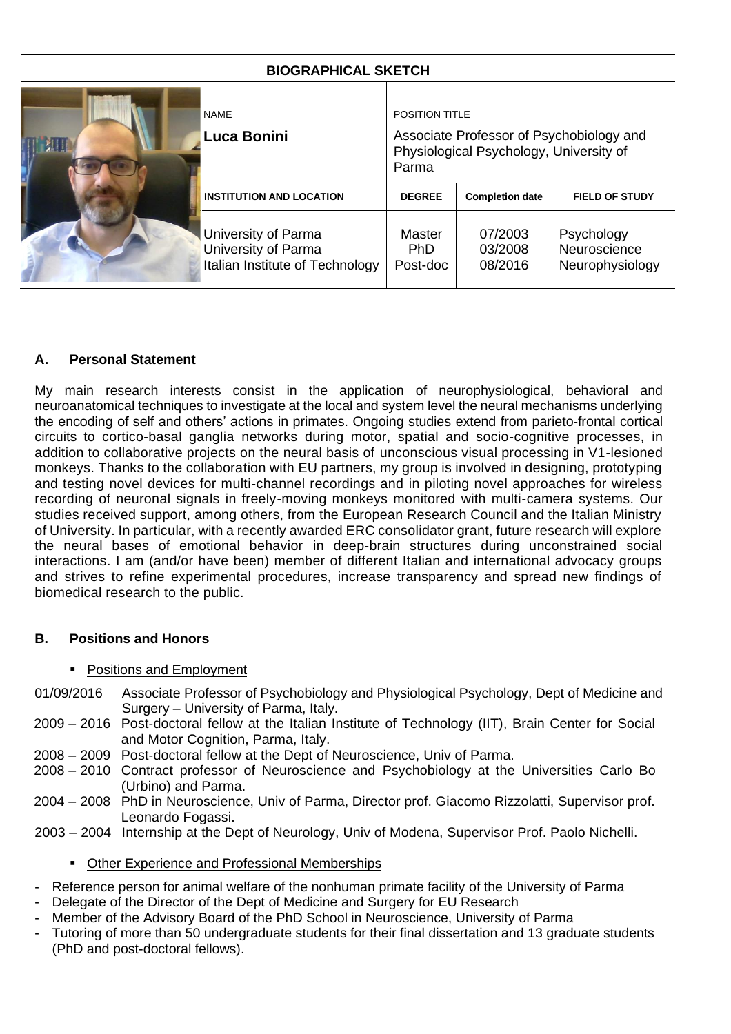# **BIOGRAPHICAL SKETCH**

| <b>NAME</b><br>Luca Bonini                                                    | POSITION TITLE<br>Associate Professor of Psychobiology and<br>Physiological Psychology, University of<br>Parma |                               |                                               |
|-------------------------------------------------------------------------------|----------------------------------------------------------------------------------------------------------------|-------------------------------|-----------------------------------------------|
| <b>INSTITUTION AND LOCATION</b>                                               | <b>DEGREE</b>                                                                                                  | <b>Completion date</b>        | <b>FIELD OF STUDY</b>                         |
| University of Parma<br>University of Parma<br>Italian Institute of Technology | Master<br>PhD.<br>Post-doc                                                                                     | 07/2003<br>03/2008<br>08/2016 | Psychology<br>Neuroscience<br>Neurophysiology |

## **A. Personal Statement**

My main research interests consist in the application of neurophysiological, behavioral and neuroanatomical techniques to investigate at the local and system level the neural mechanisms underlying the encoding of self and others' actions in primates. Ongoing studies extend from parieto-frontal cortical circuits to cortico-basal ganglia networks during motor, spatial and socio-cognitive processes, in addition to collaborative projects on the neural basis of unconscious visual processing in V1-lesioned monkeys. Thanks to the collaboration with EU partners, my group is involved in designing, prototyping and testing novel devices for multi-channel recordings and in piloting novel approaches for wireless recording of neuronal signals in freely-moving monkeys monitored with multi-camera systems. Our studies received support, among others, from the European Research Council and the Italian Ministry of University. In particular, with a recently awarded ERC consolidator grant, future research will explore the neural bases of emotional behavior in deep-brain structures during unconstrained social interactions. I am (and/or have been) member of different Italian and international advocacy groups and strives to refine experimental procedures, increase transparency and spread new findings of biomedical research to the public.

### **B. Positions and Honors**

- Positions and Employment
- 01/09/2016 Associate Professor of Psychobiology and Physiological Psychology, Dept of Medicine and Surgery – University of Parma, Italy.
- 2009 2016 Post-doctoral fellow at the Italian Institute of Technology (IIT), Brain Center for Social and Motor Cognition, Parma, Italy.
- 2008 2009 Post-doctoral fellow at the Dept of Neuroscience, Univ of Parma.
- 2008 2010 Contract professor of Neuroscience and Psychobiology at the Universities Carlo Bo (Urbino) and Parma.
- 2004 2008 PhD in Neuroscience, Univ of Parma, Director prof. Giacomo Rizzolatti, Supervisor prof. Leonardo Fogassi.
- 2003 2004 Internship at the Dept of Neurology, Univ of Modena, Supervisor Prof. Paolo Nichelli.

### ■ Other Experience and Professional Memberships

- Reference person for animal welfare of the nonhuman primate facility of the University of Parma
- Delegate of the Director of the Dept of Medicine and Surgery for EU Research
- Member of the Advisory Board of the PhD School in Neuroscience, University of Parma
- Tutoring of more than 50 undergraduate students for their final dissertation and 13 graduate students (PhD and post-doctoral fellows).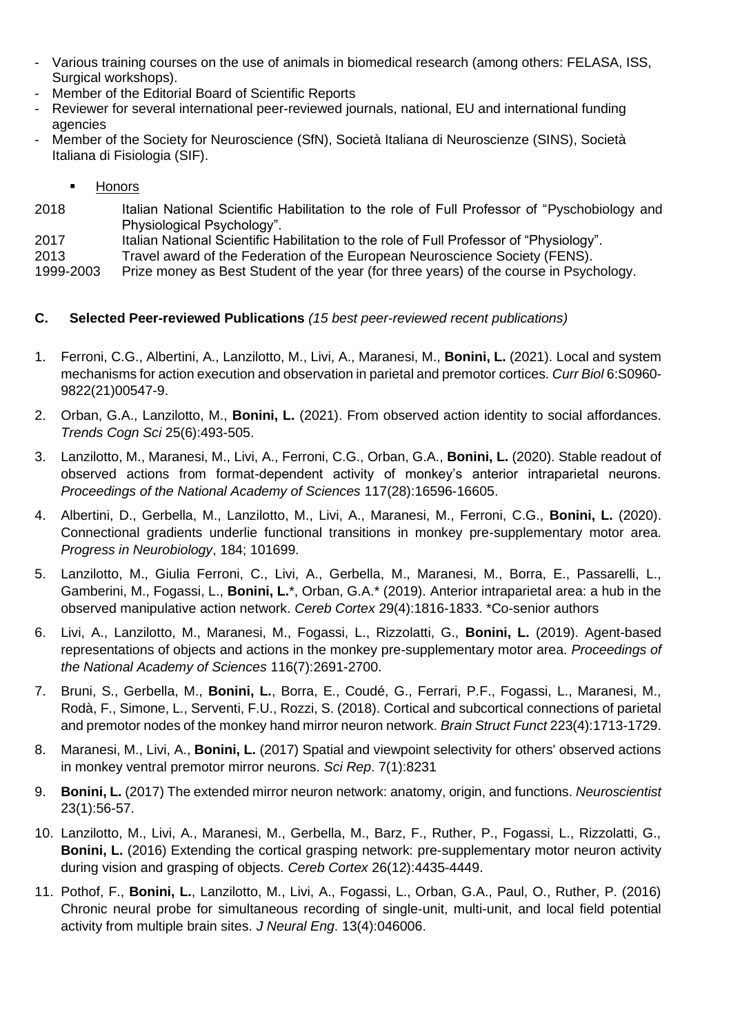- Various training courses on the use of animals in biomedical research (among others: FELASA, ISS, Surgical workshops).
- Member of the Editorial Board of Scientific Reports
- Reviewer for several international peer-reviewed journals, national, EU and international funding agencies
- Member of the Society for Neuroscience (SfN), Società Italiana di Neuroscienze (SINS), Società Italiana di Fisiologia (SIF).
	- **Honors**
- 2018 Italian National Scientific Habilitation to the role of Full Professor of "Pyschobiology and Physiological Psychology".
- 2017 Italian National Scientific Habilitation to the role of Full Professor of "Physiology".
- 2013 Travel award of the Federation of the European Neuroscience Society (FENS).

1999-2003 Prize money as Best Student of the year (for three years) of the course in Psychology.

## **C. Selected Peer-reviewed Publications** *(15 best peer-reviewed recent publications)*

- 1. Ferroni, C.G., Albertini, A., Lanzilotto, M., Livi, A., Maranesi, M., **Bonini, L.** (2021). Local and system mechanisms for action execution and observation in parietal and premotor cortices. *Curr Biol* 6:S0960- 9822(21)00547-9.
- 2. Orban, G.A., Lanzilotto, M., **Bonini, L.** (2021). From observed action identity to social affordances. *Trends Cogn Sci* 25(6):493-505.
- 3. Lanzilotto, M., Maranesi, M., Livi, A., Ferroni, C.G., Orban, G.A., **Bonini, L.** (2020). Stable readout of observed actions from format-dependent activity of monkey's anterior intraparietal neurons. *Proceedings of the National Academy of Sciences* 117(28):16596-16605.
- 4. Albertini, D., Gerbella, M., Lanzilotto, M., Livi, A., Maranesi, M., Ferroni, C.G., **Bonini, L.** (2020). Connectional gradients underlie functional transitions in monkey pre-supplementary motor area. *Progress in Neurobiology*, 184; 101699.
- 5. Lanzilotto, M., Giulia Ferroni, C., Livi, A., Gerbella, M., Maranesi, M., Borra, E., Passarelli, L., Gamberini, M., Fogassi, L., **Bonini, L.**\*, Orban, G.A.\* (2019). Anterior intraparietal area: a hub in the observed manipulative action network. *Cereb Cortex* 29(4):1816-1833. \*Co-senior authors
- 6. Livi, A., Lanzilotto, M., Maranesi, M., Fogassi, L., Rizzolatti, G., **Bonini, L.** (2019). Agent-based representations of objects and actions in the monkey pre-supplementary motor area. *Proceedings of the National Academy of Sciences* 116(7):2691-2700.
- 7. Bruni, S., Gerbella, M., **Bonini, L.**, Borra, E., Coudé, G., Ferrari, P.F., Fogassi, L., Maranesi, M., Rodà, F., Simone, L., Serventi, F.U., Rozzi, S. (2018). Cortical and subcortical connections of parietal and premotor nodes of the monkey hand mirror neuron network. *Brain Struct Funct* 223(4):1713-1729.
- 8. Maranesi, M., Livi, A., **Bonini, L.** (2017) Spatial and viewpoint selectivity for others' observed actions in monkey ventral premotor mirror neurons. *Sci Rep*. 7(1):8231
- 9. **Bonini, L.** (2017) The extended mirror neuron network: anatomy, origin, and functions. *Neuroscientist* 23(1):56-57.
- 10. Lanzilotto, M., Livi, A., Maranesi, M., Gerbella, M., Barz, F., Ruther, P., Fogassi, L., Rizzolatti, G., **Bonini, L.** (2016) Extending the cortical grasping network: pre-supplementary motor neuron activity during vision and grasping of objects. *Cereb Cortex* 26(12):4435-4449.
- 11. Pothof, F., **Bonini, L.**, Lanzilotto, M., Livi, A., Fogassi, L., Orban, G.A., Paul, O., Ruther, P. (2016) Chronic neural probe for simultaneous recording of single-unit, multi-unit, and local field potential activity from multiple brain sites. *J Neural Eng*. 13(4):046006.